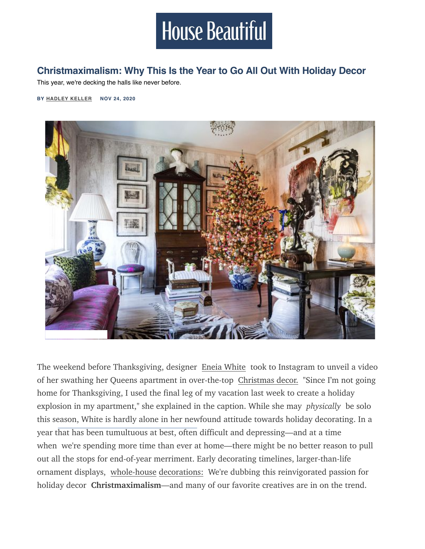

## **Christmaximalism: Why This Is the Year to Go All Out With Holiday Decor**

This year, we're decking the halls like never before.

**BY [HADLEY KELLER](https://www.housebeautiful.com/author/221884/hadley-keller/) NOV 24, 2020**



The weekend before Thanksgiving, designer [Eneia White](https://www.housebeautiful.com/lifestyle/fun-at-home/a30314905/eneia-white-dollhouse-beautiful/) took to Instagram to unveil a video of her swathing her Queens apartment in over-the-top [Christmas decor.](https://www.housebeautiful.com/entertaining/holidays-celebrations/g3986/designer-holiday-decorating-ideas/) "Since I'm not going home for Thanksgiving, I used the [final leg of my vacation last week to create a holida](https://www.housebeautiful.com/entertaining/holidays-celebrations/g3986/designer-holiday-decorating-ideas/)y explosion in my apartment," she explained in the caption. While she may *physically* be solo this season, White is hardly alone in her newfound attitude towards holiday decorating. In a year that has been tumultuous at best, often difficult and depressing—and at a time when [we're spending more time than ever at home—](https://www.housebeautiful.com/home-love/)there might be no better reason to pull out all the stops for end-of-year merriment. Early decorating timelines, larger-than-life ornament displays, whole-house decorations: We're dubbing this reinvigorated passion for holiday decor **Christmaximalism**—and many of our favorite creatives are in on the trend.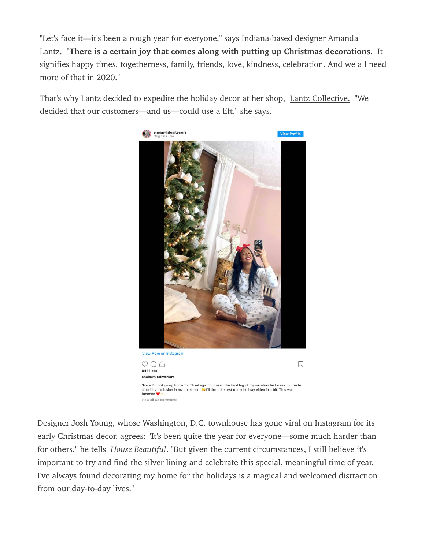"Let's face it—it's been a rough year for everyone," says Indiana-based designer Amanda Lantz. **"There is a certain joy that comes along with putting up Christmas decorations.** It signifies happy times, togetherness, family, friends, love, kindness, celebration. And we all need more of that in 2020."

That's why Lantz decided to expedite the holiday decor at her shop, Lantz Collective. "We decided that our customers—and us—could use a lift," she says.



Designer Josh Young, whose Washington, D.C. townhouse has gone viral on Instagram for its early Christmas decor, agrees: "It's been quite the year for everyone—some much harder than for others," he tells *House Beautiful*. "But given the current circumstances, I still believe it's important to try and find the silver lining and celebrate this special, meaningful time of year. I've always found decorating my home for the holidays is a magical and welcomed distraction from our day-to-day lives."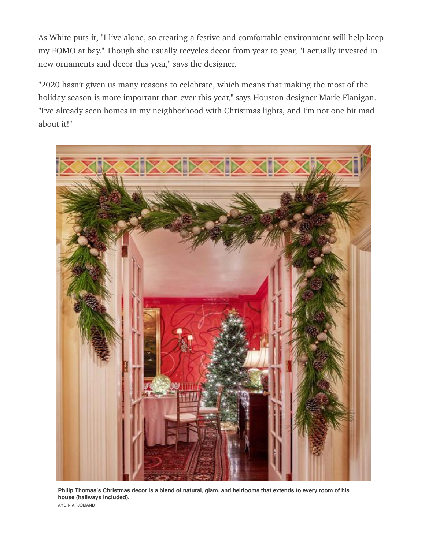As White puts it, "I live alone, so creating a festive and comfortable environment will help keep my FOMO at bay." Though she usually recycles decor from year to year, "I actually invested in new ornaments and decor this year," says the designer.

"2020 hasn't given us many reasons to celebrate, which means that making the most of the holiday season is more important than ever this year," says Houston designer Marie Flanigan. "I've already seen homes in my neighborhood with Christmas lights, and I'm not one bit mad about it!"



**Philip Thomas's Christmas decor is a blend of natural, glam, and heirlooms that extends to every room of his house (hallways included).** AYDIN ARJOMAND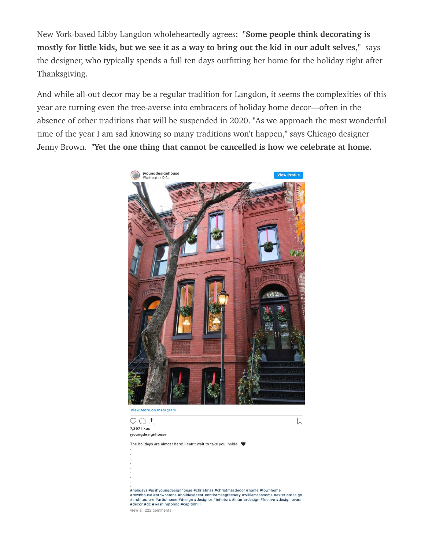New York-based Libby Langdon wholeheartedly agrees: **"Some people think decorating is mostly for little kids, but we see it as a way to bring out the kid in our adult selves,"** says the designer, who typically spends a full ten days outfitting her home for the holiday right after Thanksgiving.

And while all-out decor may be a regular tradition for Langdon, it seems the complexities of this year are turning even the tree-averse into embracers of holiday home decor—often in the absence of other traditions that will be suspended in 2020. "As we approach the most wonderful time of the year I am sad knowing so many traditions won't happen," says Chicago designer Jenny Brown. **"Yet the one thing that cannot be cancelled is how we celebrate at home.**



 $\circlearrowright\circlearrowleft\circlearrowright$ 7,397 likes jyoungdesignhouse 

 $\boxtimes$ 

#holidays #joshyoungdesignhouse #christmas #christmasdecor #home #townhome #townhouse #brownstone #holidaydecor #christmasgreenery #williamssonoma #exteriordesign #architecture #artisthome #design #designer #interiors #interiordesign #festive #designlovers #decor #dc #washingtondc #capitolhill

view all 222 comments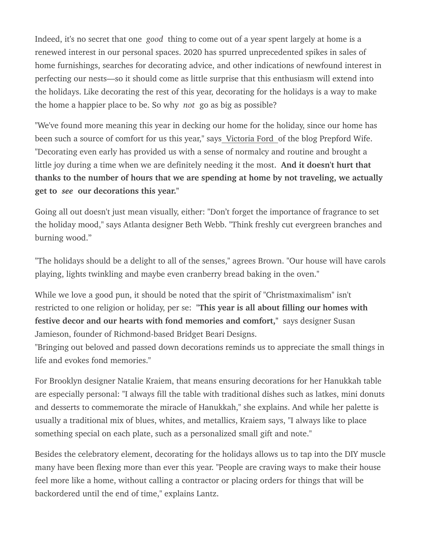Indeed, it's no secret that one *good* thing to come out of a year spent largely at home is a renewed interest in our personal spaces. 2020 has spurred unprecedented spikes in sales of home furnishings, searches for decorating advice, and other indications of newfound interest in perfecting our nests—so it should come as little surprise that this enthusiasm will extend into the holidays. Like decorating the rest of this year, decorating for the holidays is a way to make the home a happier place to be. So why *not* go as big as possible?

"We've found more meaning this year in decking our home for the holiday, since our home has been such a source of comfort for us this year," say[s Victoria Ford o](https://www.housebeautiful.com/entertaining/holidays-celebrations/a34331791/how-to-decorate-a-christmas-tree/)f the blog Prepford Wife. "Decorating even early has provided us with a sense of normalcy and routine and brought a little joy during a time when we are definitely needing it the most. **And it doesn't hurt that thanks to the number of hours that we are spending at home by not traveling, we actually get to** *see* **our decorations this year."**

Going all out doesn't just mean visually, either: "Don't forget the importance of fragrance to set the holiday mood," says Atlanta designer Beth Webb. "Think freshly cut evergreen branches and burning wood."

"The holidays should be a delight to all of the senses," agrees Brown. "Our house will have carols playing, lights twinkling and maybe even cranberry bread baking in the oven."

While we love a good pun, it should be noted that the spirit of "Christmaximalism" isn't restricted to one religion or holiday, per se: **"This year is all about filling our homes with festive decor and our hearts with fond memories and comfort,"** says designer Susan Jamieson, founder of Richmond-based Bridget Beari Designs.

"Bringing out beloved and passed down decorations reminds us to appreciate the small things in life and evokes fond memories."

For Brooklyn designer Natalie Kraiem, that means ensuring decorations for her Hanukkah table are especially personal: "I always fill the table with traditional dishes such as latkes, mini donuts and desserts to commemorate the miracle of Hanukkah," she explains. And while her palette is usually a traditional mix of blues, whites, and metallics, Kraiem says, "I always like to place something special on each plate, such as a personalized small gift and note."

Besides the celebratory element, decorating for the holidays allows us to tap into the DIY muscle many have been flexing more than ever this year. "People are craving ways to make their house feel more like a home, without calling a contractor or placing orders for things that will be backordered until the end of time," explains Lantz.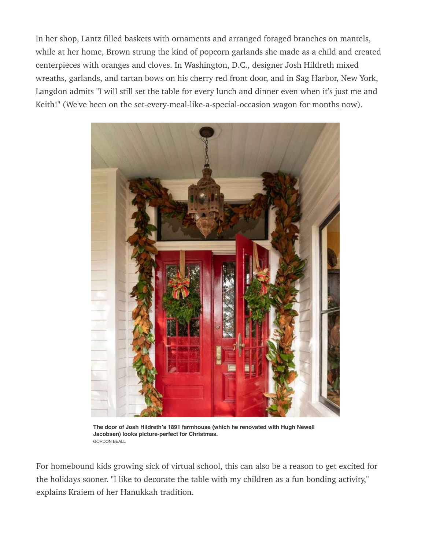In her shop, Lantz filled baskets with ornaments and arranged foraged branches on mantels, while at her home, Brown strung the kind of popcorn garlands she made as a child and created centerpieces with oranges and cloves. In Washington, D.C., designer Josh Hildreth mixed wreaths, garlands, and tartan bows on his cherry red front door, and in Sag Harbor, New York, Langdon admits "I will still set the table for every lunch and dinner even when it's just me and Keith!" (We've been on the set-every-meal-like-a-special-occasion wagon for months now).



**The door of Josh Hildreth's 1891 farmhouse (which he renovated with Hugh Newell Jacobsen) looks picture-perfect for Christmas.** GORDON BEALL

For homebound kids growing sick of virtual school, this can also be a reason to get excited for the holidays sooner. "I like to decorate the table with my children as a fun bonding activity," explains Kraiem of her Hanukkah tradition.